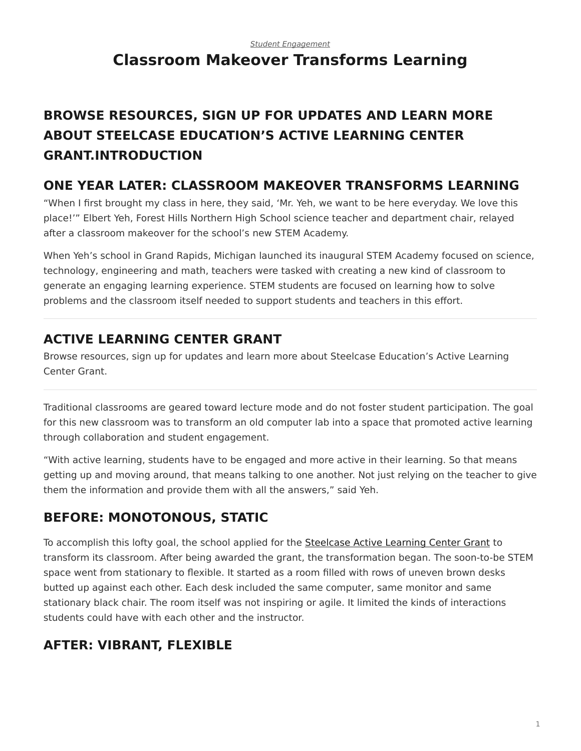#### <span id="page-0-0"></span>*[Student Engagement](https://www.steelcase.com/research/topics/student-engagement/)* **Classroom Makeover Transforms Learning**

# **BROWSE RESOURCES, SIGN UP FOR UPDATES AND LEARN MORE ABOUT STEELCASE EDUCATION'S ACTIVE LEARNING CENTER GRANT.INTRODUCTION**

#### **ONE YEAR LATER: CLASSROOM MAKEOVER TRANSFORMS LEARNING**

"When I first brought my class in here, they said, 'Mr. Yeh, we want to be here everyday. We love this place!'" Elbert Yeh, Forest Hills Northern High School science teacher and department chair, relayed after a classroom makeover for the school's new STEM Academy.

When Yeh's school in Grand Rapids, Michigan launched its inaugural STEM Academy focused on science, technology, engineering and math, teachers were tasked with creating a new kind of classroom to generate an engaging learning experience. STEM students are focused on learning how to solve problems and the classroom itself needed to support students and teachers in this effort.

## **ACTIVE LEARNING CENTER GRANT**

Browse resources, sign up for updates and learn more about Steelcase Education's Active Learning Center Grant.

Traditional classrooms are geared toward lecture mode and do not foster student participation. The goal for this new classroom was to transform an old computer lab into a space that promoted active learning through collaboration and student engagement.

"With active learning, students have to be engaged and more active in their learning. So that means getting up and moving around, that means talking to one another. Not just relying on the teacher to give them the information and provide them with all the answers," said Yeh.

## **BEFORE: MONOTONOUS, STATIC**

To accomplish this lofty goal, the school applied for the [Steelcase Active Learning Center Grant](https://www.steelcase.com/discover/information/education/active-learning-center-grant/?utm_source=360research&utm_medium=blog&utm_campaign=alcgrant&utm_content=fhclassroom) to transform its classroom. After being awarded the grant, the transformation began. The soon-to-be STEM space went from stationary to flexible. It started as a room filled with rows of uneven brown desks butted up against each other. Each desk included the same computer, same monitor and same stationary black chair. The room itself was not inspiring or agile. It limited the kinds of interactions students could have with each other and the instructor.

# **AFTER: VIBRANT, FLEXIBLE**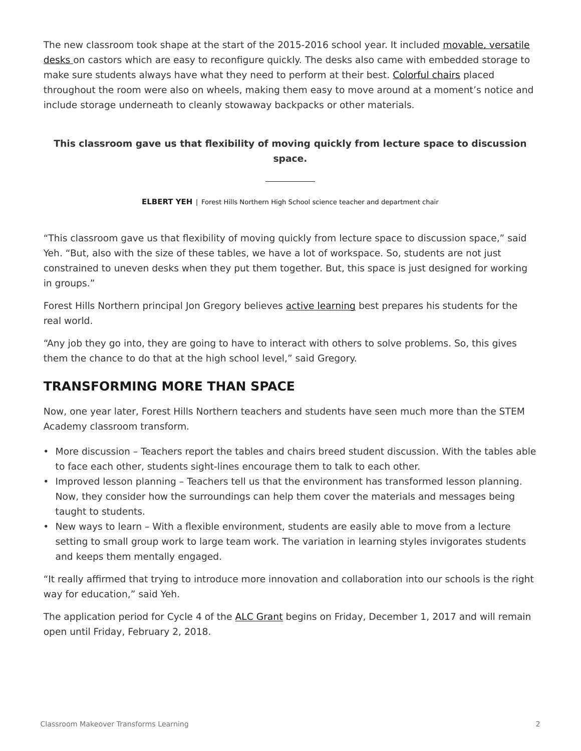The new classroom took shape at the start of the 2015-2016 school year. It included [movable, versatile](https://www.steelcase.com/products/conference-classroom-tables/verb/) [desks](https://www.steelcase.com/products/conference-classroom-tables/verb/) on castors which are easy to reconfigure quickly. The desks also came with embedded storage to make sure students always have what they need to perform at their best. [Colorful chairs](https://www.steelcase.com/products/collaborative-chairs/node/) placed throughout the room were also on wheels, making them easy to move around at a moment's notice and include storage underneath to cleanly stowaway backpacks or other materials.

#### **This classroom gave us that flexibility of moving quickly from lecture space to discussion space.**

**ELBERT YEH** | Forest Hills Northern High School science teacher and department chair

"This classroom gave us that flexibility of moving quickly from lecture space to discussion space," said Yeh. "But, also with the size of these tables, we have a lot of workspace. So, students are not just constrained to uneven desks when they put them together. But, this space is just designed for working in groups."

Forest Hills Northern principal Jon Gregory believes [active learning](https://www.steelcase.com/insights/360-magazine/the-education-edition/) best prepares his students for the real world.

"Any job they go into, they are going to have to interact with others to solve problems. So, this gives them the chance to do that at the high school level," said Gregory.

### **TRANSFORMING MORE THAN SPACE**

Now, one year later, Forest Hills Northern teachers and students have seen much more than the STEM Academy classroom transform.

- More discussion Teachers report the tables and chairs breed student discussion. With the tables able to face each other, students sight-lines encourage them to talk to each other.
- Improved lesson planning Teachers tell us that the environment has transformed lesson planning. Now, they consider how the surroundings can help them cover the materials and messages being taught to students.
- New ways to learn With a flexible environment, students are easily able to move from a lecture setting to small group work to large team work. The variation in learning styles invigorates students and keeps them mentally engaged.

"It really affirmed that trying to introduce more innovation and collaboration into our schools is the right way for education," said Yeh.

The application period for Cycle 4 of the [ALC Grant](https://www.steelcase.com/discover/information/education/active-learning-center-grant/?utm_source=360research&utm_medium=blog&utm_campaign=alcgrant&utm_content=fhclassroom) begins on Friday, December 1, 2017 and will remain open until Friday, February 2, 2018.